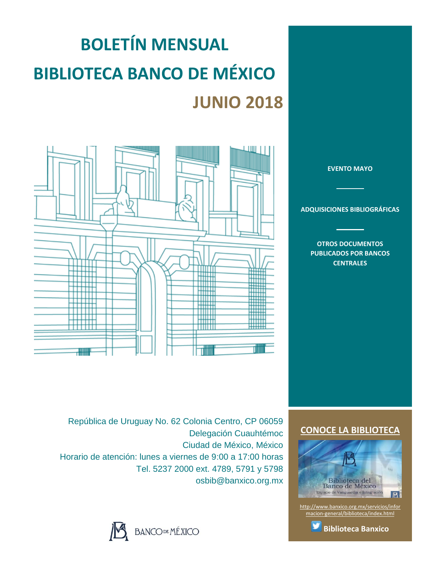# **BOLETÍN MENSUAL BIBLIOTECA BANCO DE MÉXICO JUNIO 2018**



**[EVENTO MAYO](#page-1-0)**

**[ADQUISICIONES BIBLIOGRÁFICAS](#page-2-0)**

**[OTROS DOCUMENTOS](#page-3-0)  [PUBLICADOS POR BANCOS](#page-3-0)  [CENTRALES](#page-3-0)**

República de Uruguay No. 62 Colonia Centro, CP 06059 Delegación Cuauhtémoc Ciudad de México, México Horario de atención: lunes a viernes de 9:00 a 17:00 horas Tel. 5237 2000 ext. 4789, 5791 y 5798 osbib@banxico.org.mx



# **[CONOCE LA BIBLIOTECA](http://www.banxico.org.mx/servicios/informacion-general/biblioteca/index.html)**



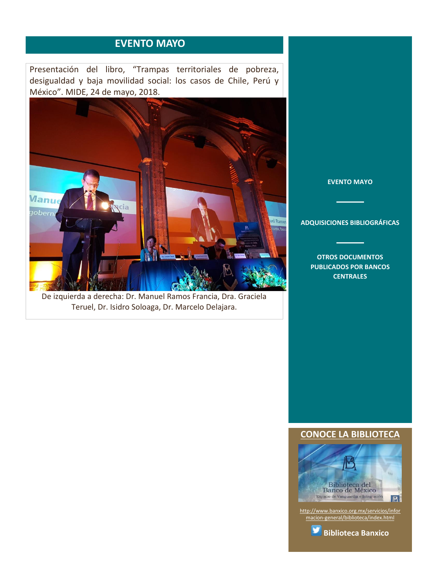# **EVENTO MAYO**

<span id="page-1-0"></span>Presentación del libro, "Trampas territoriales de pobreza, desigualdad y baja movilidad social: los casos de Chile, Perú y México". MIDE, 24 de mayo, 2018.



De izquierda a derecha: Dr. Manuel Ramos Francia, Dra. Graciela Teruel, Dr. Isidro Soloaga, Dr. Marcelo Delajara.

**[EVENTO MAYO](#page-1-0)**

**[ADQUISICIONES BIBLIOGRÁFICAS](#page-2-0)**

**[OTROS DOCUMENTOS](#page-3-0)  [PUBLICADOS POR BANCOS](#page-3-0)  [CENTRALES](#page-3-0)**

## **[CONOCE LA BIBLIOTECA](http://www.banxico.org.mx/servicios/informacion-general/biblioteca/index.html)**



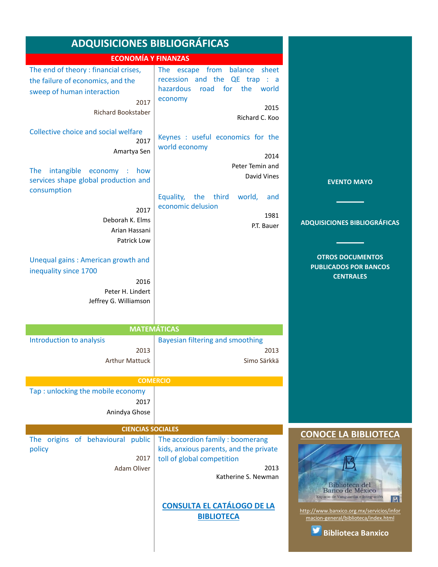<span id="page-2-0"></span>

| ADQUISICIONES BIBLIOGRÁFICAS                                                                                                                                                                                                                                                               |                                                                                                                                                                                                                                           |                                                                                                                |  |
|--------------------------------------------------------------------------------------------------------------------------------------------------------------------------------------------------------------------------------------------------------------------------------------------|-------------------------------------------------------------------------------------------------------------------------------------------------------------------------------------------------------------------------------------------|----------------------------------------------------------------------------------------------------------------|--|
| <b>ECONOMÍA Y FINANZAS</b>                                                                                                                                                                                                                                                                 |                                                                                                                                                                                                                                           |                                                                                                                |  |
| The end of theory : financial crises,<br>the failure of economics, and the<br>sweep of human interaction<br>2017<br><b>Richard Bookstaber</b><br>Collective choice and social welfare<br>2017<br>Amartya Sen<br>intangible economy :<br>how<br>The<br>services shape global production and | The escape from balance sheet<br>recession and the QE trap : a<br>road for the<br>hazardous<br>world<br>economy<br>2015<br>Richard C. Koo<br>Keynes : useful economics for the<br>world economy<br>2014<br>Peter Temin and<br>David Vines | <b>EVENTO MAYO</b>                                                                                             |  |
| consumption<br>2017<br>Deborah K. Elms<br>Arian Hassani<br>Patrick Low                                                                                                                                                                                                                     | Equality,<br>the<br>third<br>world,<br>and<br>economic delusion<br>1981<br>P.T. Bauer                                                                                                                                                     | <b>ADQUISICIONES BIBLIOGRÁFICAS</b>                                                                            |  |
| Unequal gains: American growth and<br>inequality since 1700<br>2016<br>Peter H. Lindert<br>Jeffrey G. Williamson                                                                                                                                                                           |                                                                                                                                                                                                                                           | <b>OTROS DOCUMENTOS</b><br><b>PUBLICADOS POR BANCOS</b><br><b>CENTRALES</b>                                    |  |
| <b>MATEMÁTICAS</b>                                                                                                                                                                                                                                                                         |                                                                                                                                                                                                                                           |                                                                                                                |  |
| Introduction to analysis<br>2013<br><b>Arthur Mattuck</b>                                                                                                                                                                                                                                  | Bayesian filtering and smoothing<br>2013<br>Simo Särkkä                                                                                                                                                                                   |                                                                                                                |  |
| <b>COMERCIO</b>                                                                                                                                                                                                                                                                            |                                                                                                                                                                                                                                           |                                                                                                                |  |
| Tap: unlocking the mobile economy<br>2017<br>Anindya Ghose                                                                                                                                                                                                                                 |                                                                                                                                                                                                                                           |                                                                                                                |  |
| <b>CIENCIAS SOCIALES</b>                                                                                                                                                                                                                                                                   |                                                                                                                                                                                                                                           | <b>CONOCE LA BIBLIOTECA</b>                                                                                    |  |
| The origins of behavioural public<br>policy<br>2017<br><b>Adam Oliver</b>                                                                                                                                                                                                                  | The accordion family : boomerang<br>kids, anxious parents, and the private<br>toll of global competition<br>2013<br>Katherine S. Newman<br><b>CONSULTA EL CATÁLOGO DE LA</b>                                                              | Biblioteca del<br>Banco de México<br>Espacio de Vanguardia e Integración<br>B                                  |  |
|                                                                                                                                                                                                                                                                                            | <b>BIBLIOTECA</b>                                                                                                                                                                                                                         | http://www.banxico.org.mx/servicios/infor<br>macion-general/biblioteca/index.html<br><b>Biblioteca Banxico</b> |  |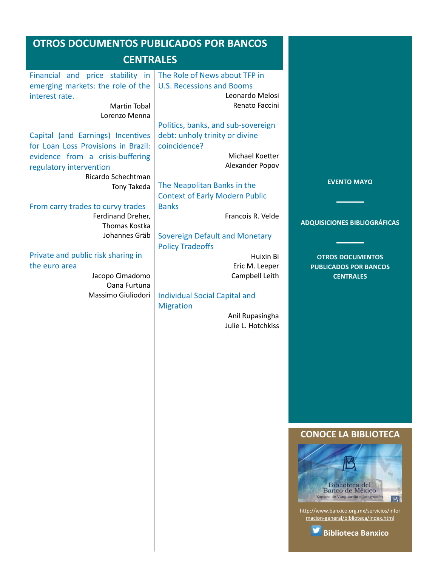<span id="page-3-0"></span>

| <b>OTROS DOCUMENTOS PUBLICADOS POR BANCOS</b> |                                       |                                     |  |
|-----------------------------------------------|---------------------------------------|-------------------------------------|--|
| <b>CENTRALES</b>                              |                                       |                                     |  |
| Financial and price stability in              | The Role of News about TFP in         |                                     |  |
| emerging markets: the role of the             | <b>U.S. Recessions and Booms</b>      |                                     |  |
| interest rate.                                | Leonardo Melosi                       |                                     |  |
| <b>Martin Tobal</b>                           | Renato Faccini                        |                                     |  |
| Lorenzo Menna                                 |                                       |                                     |  |
|                                               | Politics, banks, and sub-sovereign    |                                     |  |
| Capital (and Earnings) Incentives             | debt: unholy trinity or divine        |                                     |  |
| for Loan Loss Provisions in Brazil:           | coincidence?                          |                                     |  |
| evidence from a crisis-buffering              | Michael Koetter                       |                                     |  |
| regulatory intervention                       | Alexander Popov                       |                                     |  |
| Ricardo Schechtman                            |                                       |                                     |  |
| Tony Takeda                                   | The Neapolitan Banks in the           | <b>EVENTO MAYO</b>                  |  |
|                                               | <b>Context of Early Modern Public</b> |                                     |  |
| From carry trades to curvy trades             | <b>Banks</b>                          |                                     |  |
| Ferdinand Dreher,                             | Francois R. Velde                     | <b>ADQUISICIONES BIBLIOGRÁFICAS</b> |  |
| Thomas Kostka                                 |                                       |                                     |  |
| Johannes Gräb                                 | <b>Sovereign Default and Monetary</b> |                                     |  |
|                                               | <b>Policy Tradeoffs</b>               |                                     |  |
| Private and public risk sharing in            | Huixin Bi                             | <b>OTROS DOCUMENTOS</b>             |  |
| the euro area                                 | Eric M. Leeper                        | <b>PUBLICADOS POR BANCOS</b>        |  |
| Jacopo Cimadomo                               | Campbell Leith                        | <b>CENTRALES</b>                    |  |
| Oana Furtuna                                  |                                       |                                     |  |
| Massimo Giuliodori                            | <b>Individual Social Capital and</b>  |                                     |  |
|                                               | <b>Migration</b>                      |                                     |  |
|                                               | Anil Rupasingha<br>Julie L. Hotchkiss |                                     |  |
|                                               |                                       |                                     |  |
|                                               |                                       |                                     |  |
|                                               |                                       |                                     |  |
|                                               |                                       |                                     |  |
|                                               |                                       |                                     |  |
|                                               |                                       |                                     |  |
|                                               |                                       |                                     |  |
|                                               |                                       |                                     |  |
|                                               |                                       |                                     |  |
|                                               |                                       |                                     |  |
|                                               |                                       | <b>CONOCE LA BIBLIOTECA</b>         |  |



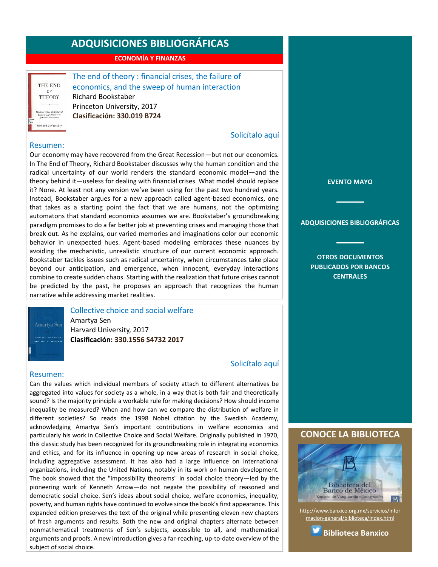**ECONOMÍA Y FINANZAS**

<span id="page-4-0"></span>

| THE END                                                                              |
|--------------------------------------------------------------------------------------|
| ΩF                                                                                   |
| THEORY                                                                               |
|                                                                                      |
| Plannelol Crises, the Failure of<br>Economics, and the Sweep<br>of Haman Internetion |
| <b>Richard Hookstaber</b>                                                            |
|                                                                                      |

The end of theory : financial crises, the failure of economics, and the sweep of human interaction Richard Bookstaber Princeton University, 2017 **Clasificación: 330.019 B724**

## [Solicítalo aquí](mailto:osbib@banxico.org.mx?subject=+Solicito%20el%20siguiente%20material&body=Solicito%20en%20préstamo%20el%20siguiente%20título%20%22The%20end%20of%20theory%22%20con%20clasificación%20330.019%20B724)

#### Resumen:

Our economy may have recovered from the Great Recession—but not our economics. In The End of Theory, Richard Bookstaber discusses why the human condition and the radical uncertainty of our world renders the standard economic model—and the theory behind it—useless for dealing with financial crises. What model should replace it? None. At least not any version we've been using for the past two hundred years. Instead, Bookstaber argues for a new approach called agent-based economics, one that takes as a starting point the fact that we are humans, not the optimizing automatons that standard economics assumes we are. Bookstaber's groundbreaking paradigm promises to do a far better job at preventing crises and managing those that break out. As he explains, our varied memories and imaginations color our economic behavior in unexpected hues. Agent-based modeling embraces these nuances by avoiding the mechanistic, unrealistic structure of our current economic approach. Bookstaber tackles issues such as radical uncertainty, when circumstances take place beyond our anticipation, and emergence, when innocent, everyday interactions combine to create sudden chaos. Starting with the realization that future crises cannot be predicted by the past, he proposes an approach that recognizes the human narrative while addressing market realities.

## Collective choice and social welfare Amartya Sen Harvard University, 2017 **Clasificación: 330.1556 S4732 2017**

## [Solicítalo aquí](mailto:osbib@banxico.org.mx?subject=+Solicito%20el%20siguiente%20material&body=Solicito%20en%20préstamo%20el%20siguiente%20título%20%22Collective%20choice%20and%20social%20welfare%22%20con%20clasificación%20330.1556%20S4732%202017)

#### Resumen:

**OLLECTIVE CHOICE** 

Can the values which individual members of society attach to different alternatives be aggregated into values for society as a whole, in a way that is both fair and theoretically sound? Is the majority principle a workable rule for making decisions? How should income inequality be measured? When and how can we compare the distribution of welfare in different societies? So reads the 1998 Nobel citation by the Swedish Academy, acknowledging Amartya Sen's important contributions in welfare economics and particularly his work in Collective Choice and Social Welfare. Originally published in 1970, this classic study has been recognized for its groundbreaking role in integrating economics and ethics, and for its influence in opening up new areas of research in social choice, including aggregative assessment. It has also had a large influence on international organizations, including the United Nations, notably in its work on human development. The book showed that the "impossibility theorems" in social choice theory—led by the pioneering work of Kenneth Arrow—do not negate the possibility of reasoned and democratic social choice. Sen's ideas about social choice, welfare economics, inequality, poverty, and human rights have continued to evolve since the book's first appearance. This expanded edition preserves the text of the original while presenting eleven new chapters of fresh arguments and results. Both the new and original chapters alternate between nonmathematical treatments of Sen's subjects, accessible to all, and mathematical arguments and proofs. A new introduction gives a far-reaching, up-to-date overview of the subject of social choice.

**[EVENTO MAYO](#page-1-0)**

#### **[ADQUISICIONES BIBLIOGRÁFICAS](#page-2-0)**

**[OTROS DOCUMENTOS](#page-3-0)  [PUBLICADOS POR BANCOS](#page-3-0)  [CENTRALES](#page-3-0)**

#### **[CONOCE LA BIBLIOTECA](http://www.banxico.org.mx/servicios/informacion-general/biblioteca/index.html)**



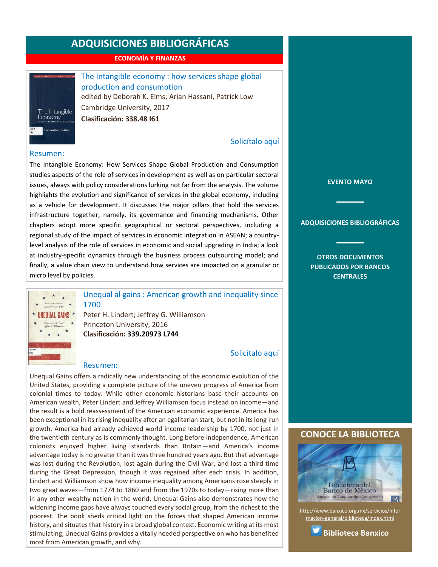#### **ECONOMÍA Y FINANZAS**

<span id="page-5-0"></span>

The Intangible economy : how services shape global production and consumption edited by Deborah K. Elms; Arian Hassani, Patrick Low Cambridge University, 2017 **Clasificación: 338.48 I61**

#### [Solicítalo aquí](mailto:osbib@banxico.org.mx?subject=+Solicito%20el%20siguiente%20material&body=Solicito%20en%20préstamo%20el%20siguiente%20título%20%22The%20Intangible%20economy%22%20con%20clasificación%20338.48%20I61)

#### Resumen:

The Intangible Economy: How Services Shape Global Production and Consumption studies aspects of the role of services in development as well as on particular sectoral issues, always with policy considerations lurking not far from the analysis. The volume highlights the evolution and significance of services in the global economy, including as a vehicle for development. It discusses the major pillars that hold the services infrastructure together, namely, its governance and financing mechanisms. Other chapters adopt more specific geographical or sectoral perspectives, including a regional study of the impact of services in economic integration in ASEAN; a countrylevel analysis of the role of services in economic and social upgrading in India; a look at industry-specific dynamics through the business process outsourcing model; and finally, a value chain view to understand how services are impacted on a granular or micro level by policies.



Unequal al gains : American growth and inequality since 1700

Peter H. Lindert; Jeffrey G. Williamson Princeton University, 2016 **Clasificación: 339.20973 L744**

[Solicítalo aquí](mailto:osbib@banxico.org.mx?subject=+Solicito%20el%20siguiente%20material&body=Solicito%20en%20préstamo%20el%20siguiente%20título%20%22Unequal%20al%20gains%22%20con%20clasificación%20339.20973%20L744)

#### Resumen:

Unequal Gains offers a radically new understanding of the economic evolution of the United States, providing a complete picture of the uneven progress of America from colonial times to today. While other economic historians base their accounts on American wealth, Peter Lindert and Jeffrey Williamson focus instead on income—and the result is a bold reassessment of the American economic experience. America has been exceptional in its rising inequality after an egalitarian start, but not in its long-run growth. America had already achieved world income leadership by 1700, not just in the twentieth century as is commonly thought. Long before independence, American colonists enjoyed higher living standards than Britain—and America's income advantage today is no greater than it was three hundred years ago. But that advantage was lost during the Revolution, lost again during the Civil War, and lost a third time during the Great Depression, though it was regained after each crisis. In addition, Lindert and Williamson show how income inequality among Americans rose steeply in two great waves—from 1774 to 1860 and from the 1970s to today—rising more than in any other wealthy nation in the world. Unequal Gains also demonstrates how the widening income gaps have always touched every social group, from the richest to the poorest. The book sheds critical light on the forces that shaped American income history, and situates that history in a broad global context. Economic writing at its most stimulating, Unequal Gains provides a vitally needed perspective on who has benefited most from American growth, and why.

## **[EVENTO MAYO](#page-1-0)**

#### **[ADQUISICIONES BIBLIOGRÁFICAS](#page-2-0)**

**[OTROS DOCUMENTOS](#page-3-0)  [PUBLICADOS POR BANCOS](#page-3-0)  [CENTRALES](#page-3-0)**

#### **[CONOCE LA BIBLIOTECA](http://www.banxico.org.mx/servicios/informacion-general/biblioteca/index.html)**



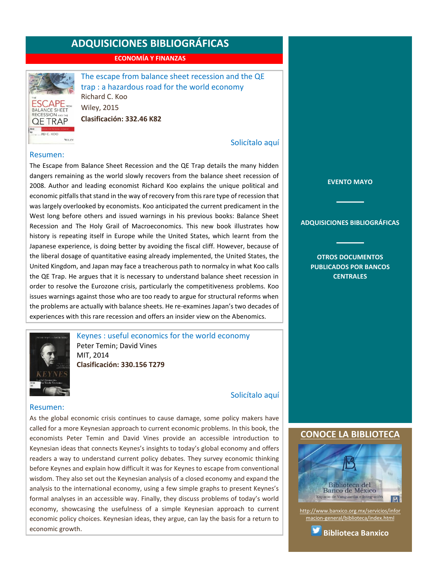**ECONOMÍA Y FINANZAS**



<span id="page-6-0"></span>The escape from balance sheet recession and the QE trap : a hazardous road for the world economy Richard C. Koo Wiley, 2015 **Clasificación: 332.46 K82**

#### [Solicítalo aquí](mailto:osbib@banxico.org.mx?subject=+Solicito%20el%20siguiente%20material&body=Solicito%20en%20préstamo%20el%20siguiente%20título%20%22The%20escape%20from%20balance%20sheet%20recession%20and%20the%20QE%20trap%22%20con%20clasificación%20332.46%20K82)

#### Resumen:

The Escape from Balance Sheet Recession and the QE Trap details the many hidden dangers remaining as the world slowly recovers from the balance sheet recession of 2008. Author and leading economist Richard Koo explains the unique political and economic pitfalls that stand in the way of recovery from this rare type of recession that was largely overlooked by economists. Koo anticipated the current predicament in the West long before others and issued warnings in his previous books: Balance Sheet Recession and The Holy Grail of Macroeconomics. This new book illustrates how history is repeating itself in Europe while the United States, which learnt from the Japanese experience, is doing better by avoiding the fiscal cliff. However, because of the liberal dosage of quantitative easing already implemented, the United States, the United Kingdom, and Japan may face a treacherous path to normalcy in what Koo calls the QE Trap. He argues that it is necessary to understand balance sheet recession in order to resolve the Eurozone crisis, particularly the competitiveness problems. Koo issues warnings against those who are too ready to argue for structural reforms when the problems are actually with balance sheets. He re-examines Japan's two decades of experiences with this rare recession and offers an insider view on the Abenomics.



<span id="page-6-1"></span>Keynes : useful economics for the world economy Peter Temin; David Vines MIT, 2014 **Clasificación: 330.156 T279**

#### [Solicítalo aquí](mailto:osbib@banxico.org.mx?subject=+Solicito%20el%20siguiente%20material&body=Solicito%20en%20préstamo%20el%20siguiente%20título%20%22Keynes%20:%20useful%20economics%20for%20the%20world%20economy%22%20con%20clasificación%20330.156%20T279)

#### Resumen:

As the global economic crisis continues to cause damage, some policy makers have called for a more Keynesian approach to current economic problems. In this book, the economists Peter Temin and David Vines provide an accessible introduction to Keynesian ideas that connects Keynes's insights to today's global economy and offers readers a way to understand current policy debates. They survey economic thinking before Keynes and explain how difficult it was for Keynes to escape from conventional wisdom. They also set out the Keynesian analysis of a closed economy and expand the analysis to the international economy, using a few simple graphs to present Keynes's formal analyses in an accessible way. Finally, they discuss problems of today's world economy, showcasing the usefulness of a simple Keynesian approach to current economic policy choices. Keynesian ideas, they argue, can lay the basis for a return to economic growth.

**[EVENTO MAYO](#page-1-0)**

#### **[ADQUISICIONES BIBLIOGRÁFICAS](#page-2-0)**

**[OTROS DOCUMENTOS](#page-3-0)  [PUBLICADOS POR BANCOS](#page-3-0) [CENTRALES](#page-3-0)**

## **[CONOCE LA BIBLIOTECA](http://www.banxico.org.mx/servicios/informacion-general/biblioteca/index.html)**



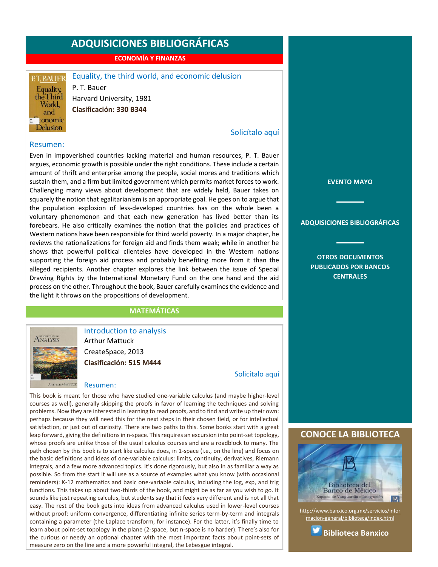**ECONOMÍA Y FINANZAS**

#### <span id="page-7-1"></span>P.T. BAUER Equality, theThird World, and conomic **Delusion**

## <span id="page-7-0"></span>Equality, the third world, and economic delusion

P. T. Bauer Harvard University, 1981 **Clasificación: 330 B344**

# [Solicítalo aquí](mailto:osbib@banxico.org.mx?subject=+Solicito%20el%20siguiente%20material&body=Solicito%20en%20préstamo%20el%20siguiente%20título%20%22Equality,%20the%20third%20world,%20and%20economic%20delusion%22%20con%20clasificación%20330%20B344)

#### Resumen:

Even in impoverished countries lacking material and human resources, P. T. Bauer argues, economic growth is possible under the right conditions. These include a certain amount of thrift and enterprise among the people, social mores and traditions which sustain them, and a firm but limited government which permits market forces to work. Challenging many views about development that are widely held, Bauer takes on squarely the notion that egalitarianism is an appropriate goal. He goes on to argue that the population explosion of less-developed countries has on the whole been a voluntary phenomenon and that each new generation has lived better than its forebears. He also critically examines the notion that the policies and practices of Western nations have been responsible for third world poverty. In a major chapter, he reviews the rationalizations for foreign aid and finds them weak; while in another he shows that powerful political clienteles have developed in the Western nations supporting the foreign aid process and probably benefiting more from it than the alleged recipients. Another chapter explores the link between the issue of Special Drawing Rights by the International Monetary Fund on the one hand and the aid process on the other. Throughout the book, Bauer carefully examines the evidence and the light it throws on the propositions of development.

# **MATEMÁTICAS**



Introduction to analysis Arthur Mattuck CreateSpace, 2013 **Clasificación: 515 M444**

[Solicítalo aquí](mailto:osbib@banxico.org.mx?subject=+Solicito%20el%20siguiente%20material&body=Solicito%20en%20préstamo%20el%20siguiente%20título%20%22Introduction%20to%20analysis%22%20con%20clasificación%20515%20M444)

Resumen:

This book is meant for those who have studied one-variable calculus (and maybe higher-level courses as well), generally skipping the proofs in favor of learning the techniques and solving problems. Now they are interested in learning to read proofs, and to find and write up their own: perhaps because they will need this for the next steps in their chosen field, or for intellectual satisfaction, or just out of curiosity. There are two paths to this. Some books start with a great leap forward, giving the definitions in n-space. This requires an excursion into point-set topology, whose proofs are unlike those of the usual calculus courses and are a roadblock to many. The path chosen by this book is to start like calculus does, in 1-space (i.e., on the line) and focus on the basic definitions and ideas of one-variable calculus: limits, continuity, derivatives, Riemann integrals, and a few more advanced topics. It's done rigorously, but also in as familiar a way as possible. So from the start it will use as a source of examples what you know (with occasional reminders): K-12 mathematics and basic one-variable calculus, including the log, exp, and trig functions. This takes up about two-thirds of the book, and might be as far as you wish to go. It sounds like just repeating calculus, but students say that it feels very different and is not all that easy. The rest of the book gets into ideas from advanced calculus used in lower-level courses without proof: uniform convergence, differentiating infinite series term-by-term and integrals containing a parameter (the Laplace transform, for instance). For the latter, it's finally time to learn about point-set topology in the plane (2-space, but n-space is no harder). There's also for the curious or needy an optional chapter with the most important facts about point-sets of measure zero on the line and a more powerful integral, the Lebesgue integral.

#### **CONOCE LA BIBLIOTEC**

**[EVENTO MAYO](#page-1-0)**

**[ADQUISICIONES BIBLIOGRÁFICAS](#page-2-0)**

**[OTROS DOCUMENTOS](#page-3-0)  [PUBLICADOS POR BANCOS](#page-3-0) [CENTRALES](#page-3-0)**



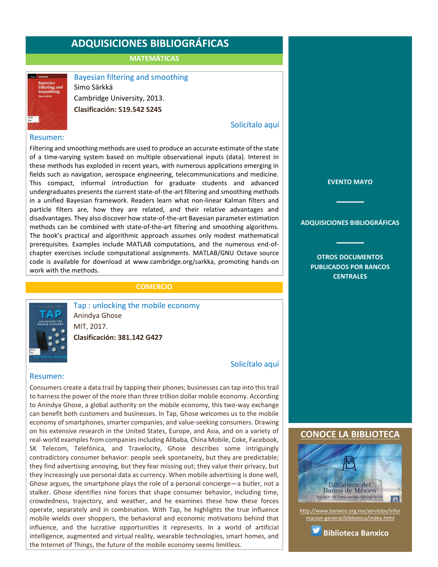**MATEMÁTICAS**

<span id="page-8-0"></span>

Bayesian filtering and smoothing Simo Särkkä Cambridge University, 2013. **Clasificación: 519.542 S245**

## [Solicítalo aquí](mailto:osbib@banxico.org.mx?subject=+Solicito%20el%20siguiente%20material&body=Solicito%20en%20préstamo%20el%20siguiente%20título%20%22Bayesian%20filtering%20and%20smoothing%22%20con%20clasificación%20519.542%20S245)

#### Resumen:

Filtering and smoothing methods are used to produce an accurate estimate of the state of a time-varying system based on multiple observational inputs (data). Interest in these methods has exploded in recent years, with numerous applications emerging in fields such as navigation, aerospace engineering, telecommunications and medicine. This compact, informal introduction for graduate students and advanced undergraduates presents the current state-of-the-art filtering and smoothing methods in a unified Bayesian framework. Readers learn what non-linear Kalman filters and particle filters are, how they are related, and their relative advantages and disadvantages. They also discover how state-of-the-art Bayesian parameter estimation methods can be combined with state-of-the-art filtering and smoothing algorithms. The book's practical and algorithmic approach assumes only modest mathematical prerequisites. Examples include MATLAB computations, and the numerous end-ofchapter exercises include computational assignments. MATLAB/GNU Octave source code is available for download at www.cambridge.org/sarkka, promoting hands-on work with the methods.

# **COMERCIO**



Tap : unlocking the mobile economy Anindya Ghose MIT, 2017. **Clasificación: 381.142 G427**

# [Solicítalo aquí](mailto:osbib@banxico.org.mx?subject=+Solicito%20el%20siguiente%20material&body=Solicito%20en%20préstamo%20el%20siguiente%20título%20%22Tap%20:%20unlocking%20the%20mobile%20economy%22%20con%20clasificación%20381.142%20G427)

#### Resumen:

Consumers create a data trail by tapping their phones; businesses can tap into this trail to harness the power of the more than three trillion dollar mobile economy. According to Anindya Ghose, a global authority on the mobile economy, this two-way exchange can benefit both customers and businesses. In Tap, Ghose welcomes us to the mobile economy of smartphones, smarter companies, and value-seeking consumers. Drawing on his extensive research in the United States, Europe, and Asia, and on a variety of real-world examples from companies including Alibaba, China Mobile, Coke, Facebook, SK Telecom, Telefónica, and Travelocity, Ghose describes some intriguingly contradictory consumer behavior: people seek spontaneity, but they are predictable; they find advertising annoying, but they fear missing out; they value their privacy, but they increasingly use personal data as currency. When mobile advertising is done well, Ghose argues, the smartphone plays the role of a personal concierge—a butler, not a stalker. Ghose identifies nine forces that shape consumer behavior, including time, crowdedness, trajectory, and weather, and he examines these how these forces operate, separately and in combination. With Tap, he highlights the true influence mobile wields over shoppers, the behavioral and economic motivations behind that influence, and the lucrative opportunities it represents. In a world of artificial intelligence, augmented and virtual reality, wearable technologies, smart homes, and the Internet of Things, the future of the mobile economy seems limitless.

**[EVENTO MAYO](#page-1-0)**

**[ADQUISICIONES BIBLIOGRÁFICAS](#page-2-0)**

**[OTROS DOCUMENTOS](#page-3-0)  [PUBLICADOS POR BANCOS](#page-3-0)  [CENTRALES](#page-3-0)**

**CONOCE LA BIBLIOTEC** 



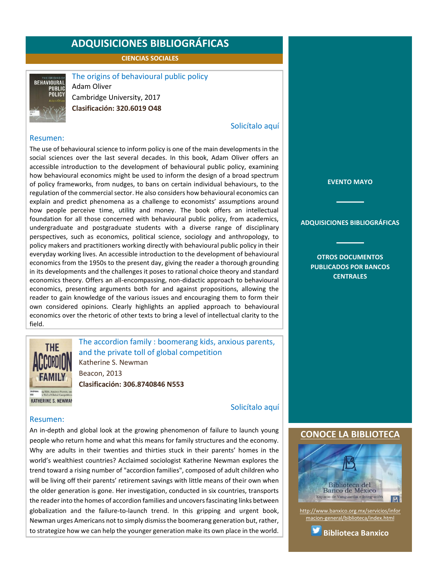**CIENCIAS SOCIALES**

<span id="page-9-0"></span>

#### The origins of behavioural public policy Adam Oliver

Cambridge University, 2017 **Clasificación: 320.6019 O48**

# [Solicítalo aquí](mailto:osbib@banxico.org.mx?subject=+Solicito%20el%20siguiente%20material&body=Solicito%20en%20préstamo%20el%20siguiente%20título%20%22The%20origins%20of%20behavioural%20public%20policy%22%20con%20clasificación%20320.6019%20O48)

#### Resumen:

The use of behavioural science to inform policy is one of the main developments in the social sciences over the last several decades. In this book, Adam Oliver offers an accessible introduction to the development of behavioural public policy, examining how behavioural economics might be used to inform the design of a broad spectrum of policy frameworks, from nudges, to bans on certain individual behaviours, to the regulation of the commercial sector. He also considers how behavioural economics can explain and predict phenomena as a challenge to economists' assumptions around how people perceive time, utility and money. The book offers an intellectual foundation for all those concerned with behavioural public policy, from academics, undergraduate and postgraduate students with a diverse range of disciplinary perspectives, such as economics, political science, sociology and anthropology, to policy makers and practitioners working directly with behavioural public policy in their everyday working lives. An accessible introduction to the development of behavioural economics from the 1950s to the present day, giving the reader a thorough grounding in its developments and the challenges it poses to rational choice theory and standard economics theory. Offers an all-encompassing, non-didactic approach to behavioural economics, presenting arguments both for and against propositions, allowing the reader to gain knowledge of the various issues and encouraging them to form their own considered opinions. Clearly highlights an applied approach to behavioural economics over the rhetoric of other texts to bring a level of intellectual clarity to the field.



The accordion family : boomerang kids, anxious parents, and the private toll of global competition Katherine S. Newman Beacon, 2013 **Clasificación: 306.8740846 N553**

#### [Solicítalo aquí](mailto:osbib@banxico.org.mx?subject=+Solicito%20el%20siguiente%20material&body=Solicito%20en%20préstamo%20el%20siguiente%20título%20%22The%20accordion%20family%22%20con%20clasificación%20306.8740846%20N553)

#### Resumen:

An in-depth and global look at the growing phenomenon of failure to launch young people who return home and what this means for family structures and the economy. Why are adults in their twenties and thirties stuck in their parents' homes in the world's wealthiest countries? Acclaimed sociologist Katherine Newman explores the trend toward a rising number of "accordion families", composed of adult children who will be living off their parents' retirement savings with little means of their own when the older generation is gone. Her investigation, conducted in six countries, transports the reader into the homes of accordion families and uncovers fascinating links between globalization and the failure-to-launch trend. In this gripping and urgent book, Newman urges Americans not to simply dismiss the boomerang generation but, rather, to strategize how we can help the younger generation make its own place in the world. **[EVENTO MAYO](#page-1-0)**

#### **[ADQUISICIONES BIBLIOGRÁFICAS](#page-2-0)**

**[OTROS DOCUMENTOS](#page-3-0)  [PUBLICADOS POR BANCOS](#page-3-0)  [CENTRALES](#page-3-0)**

## **CONOCE LA BIBLIOTEC**



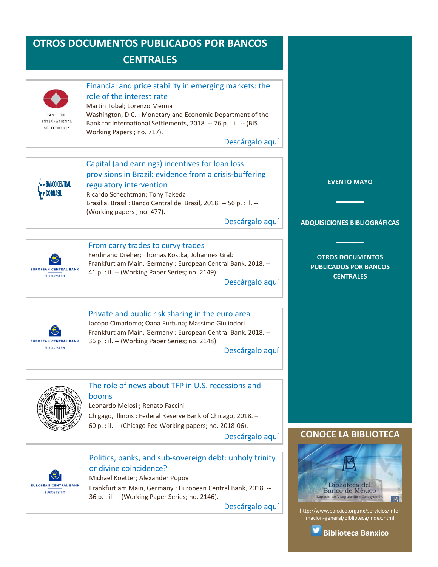<span id="page-10-0"></span>

**EUROPEAN CENTRAL BANK** EUROSYSTEM

or divine coincidence? Michael Koetter; Alexander Popov Frankfurt am Main, Germany : European Central Bank, 2018. -- 36 p. : il. -- (Working Paper Series; no. 2146).

[Descárgalo aquí](https://www.ecb.europa.eu/pub/pdf/scpwps/ecb.wp2146.en.pdf)